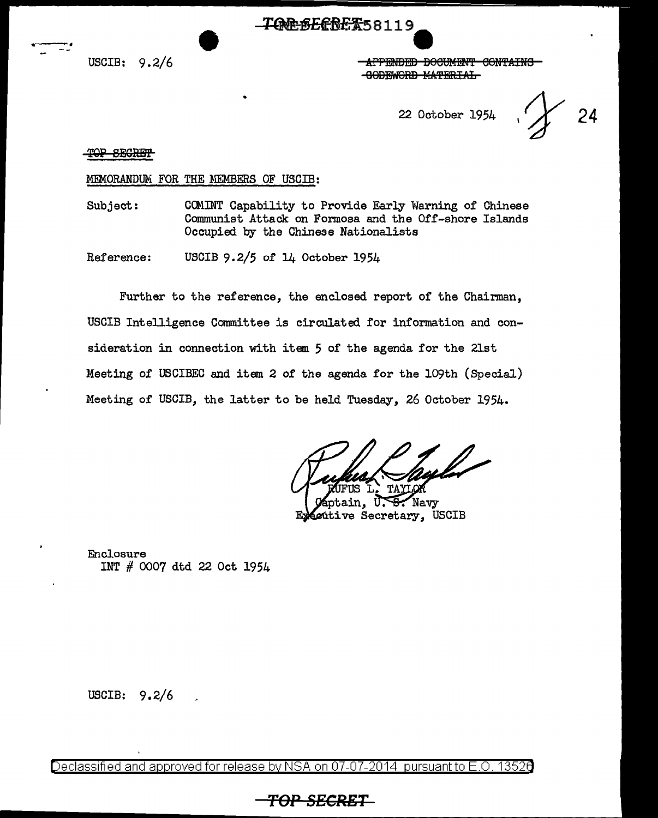USCIB: 9.2/6

.--~-

**-APPENDED BOOUMENT CONTAINS** -GODEWORD MATERIAL

22 October 1954 ,  $\chi$  24

TOP SEGRET

MEMORANDUM FOR THE MEMBERS OF USCIB:

Subject: COMINT Capability to Provide Early Warning of Chinese Communist Attack on Formosa and the Off-shore Islands Occupied by the Chinese Nationalists

-TOREBEREX58119

Reference: USCIB 9.2/5 of 14 October 1954

Further to the reference, the enclosed report of the Chairman, USCIB Intelligence Committee is circulated for information and consideration in connection with item. 5 of the agenda for the 21st Meeting of USCIBEC and item 2 of the agenda for the 109th (Special) Meeting of USCIB, the latter to be held Tuesday, 26 October 1954.

ain, Navy entive Secretary, USCIB

Enclosure INT # 0007 dtd 22 Oct 1954

USCIB: 9.2/6

Declassified and approved for release by NSA on 07-07-2014 pursuantto E.O. 1352a

### **TOP SECRET**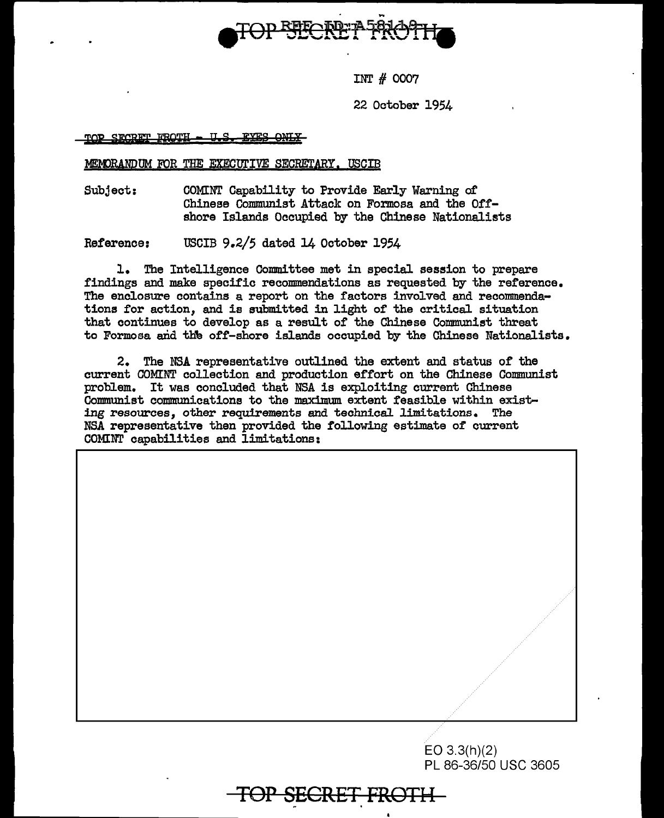

INT # 0007

22 October 1954

TOP SECRET FROTH -U.S. EYES ONLY

#### MEMORANDUM FOR THE EXECUTIVE SECRETARY. USCIB

Subject: COMINT Capability to Provide Early Warning of Chinese Communist Attack on Formosa and the Offshore Islands Occupied by the Chinese Nationalists

Reference: USCIB 9.2/5 dated 14 October 1954

1. The Intelligence Committee met in special session to prepare findings and make specific recommendations as requested by the reference. The enclosure contains a report on the factors involved and recommendations for action, and is submitted in light of the critical situation that continues to develop as a result of the Chinese Communist threat to Formosa and the off-shore islands occupied by the Chinese Nationalists.

2. The NSA representative outlined the extent and status of the current COMINT collection and production effort on the Chinese Communist problem. It was concluded that NSA is exploiting current Chinese Communist communications to the maximum extent feasible within existing resources, other requirements and technical limitations. The NSA representative then provided the following estimate or current COMINT capabilities and limitations:

**TOP SECRET FROTH** 

// EO 3.3(h)(2) PL 86-36/50 USC 3605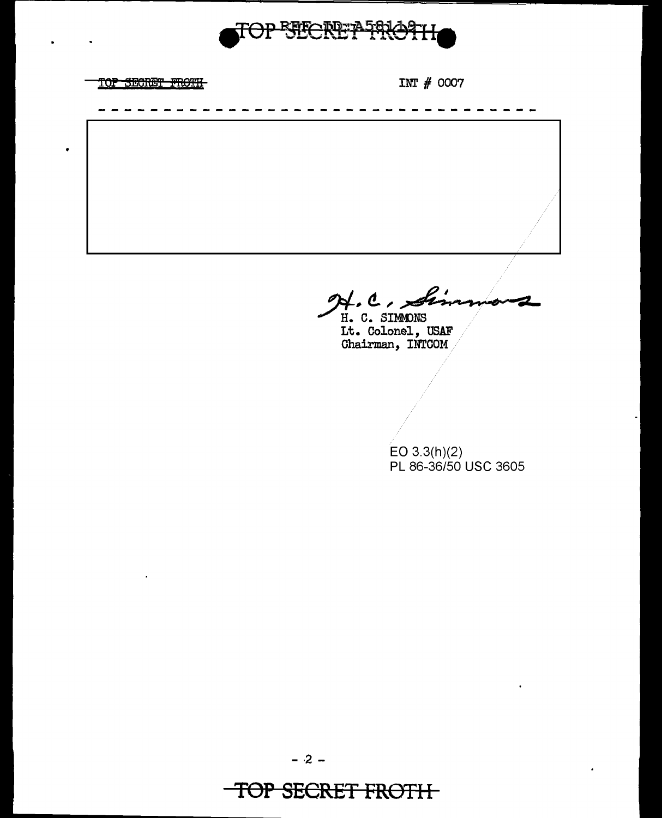

TOP SECRET FROTH

 $\bullet$ 

H.C. Sin

H. C. SIMMONS It. Colonel, USAF<br>Chairman, INTCOM

> $EO 3.3(h)(2)$ PL 86-36/50 USC 3605

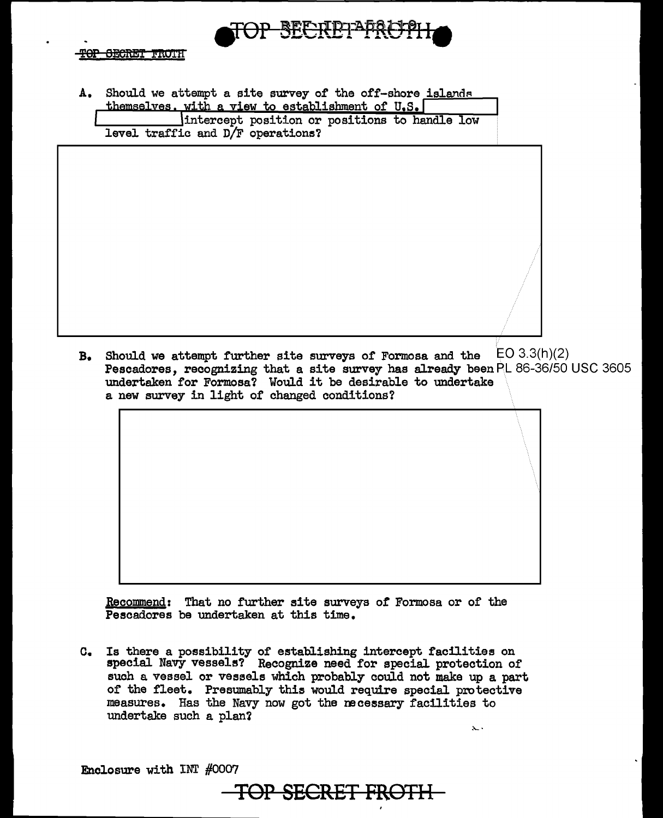

A. Should we attempt a site survey of the off-shore islands themselves. with a view to establishment of  $U.S.$ 

intercept position or positions to handle low level traffic and D/F operations?

**B.** Should we attempt further site surveys of Formosa and the EO 3.3(h)(2) Pescadores, recognizing that a site survey has already been PL 86-36/50 USC 3605 undertaken for Formosa? Would it be desirable to undertake a new survey in light of changed conditions?

Recommend: That no further site surveys of Formosa or of the Pescadores be undertaken at this time.

o. Is there a possibility of establishing intercept facilities on special Navy vessels? Recognize need for special protection of such a vessel or vessels which probably could not make up a part or the fleet. Presumably this would require special protective measures. Has the Navy now got the necessary facilities to undertake such a plan?

Enclosure with INT #0007

TOP **SECRET FROTH** 

;..\_.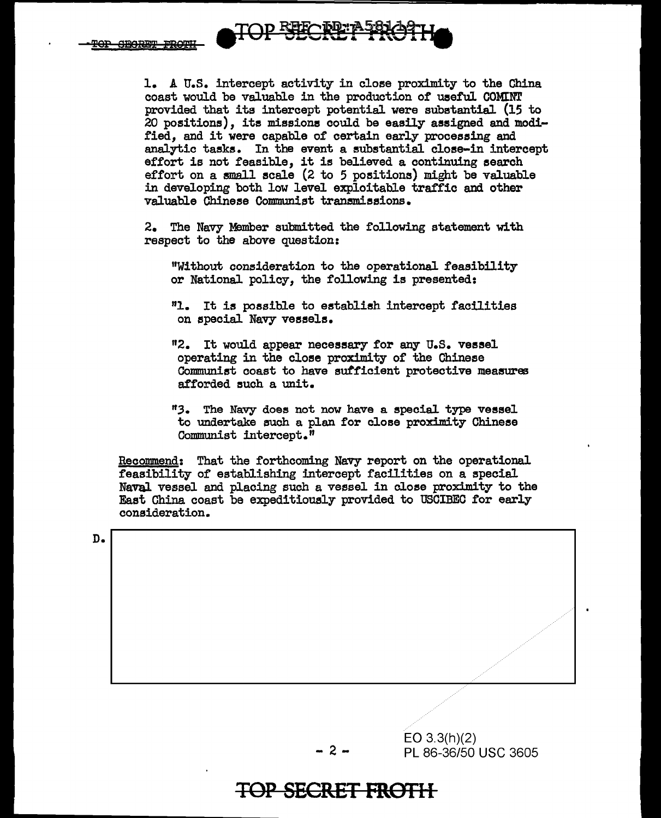

1. A U.S. intercept activity in close proximity to the China coast would be valuable in the production of useful COMINT provided that its intercept potential were substantial (15 to  $20$  positions), its missions could be easily assigned and modi-.fied, and it were capable of certain early processing and analytic tasks. In the event a substantial close-in intercept effort is not feasible, it is believed a continuing search effort on a small scale (2 to 5 positions) might be valuable in developing both low level exploitable traffic and other valuable Chinese Communist transmissions.

2. The Navy Member submitted the following statement with respect to the above question:

"Without comsideration to the operational feasibility or National policy, the following is presented:

"1. It is possible to establish intercept facilities on special Navy vessels.

"2. It would appear neceesary for any U.S. vessel operating in the close proximity of the Chinese Communist coast to have sufficient protective measures afforded such a unit.

<sup>11</sup>3. The Navy does not now have a special type vessel to undertake such a plan for close proximity Chinese Communist intercept."

Recommend: That the forthcoming Navy report on the operational feasibility of establishing intercept facilities on a special Naval vessel and placing such a vessel in close proximity to the East China coast be expeditiously provided to USCIBEC for early consideration.

D.

EO 3.3(h)(2)  $-2$   $-$  PL 86-36/50 USC 3605

.· .· .· .· .· .· .·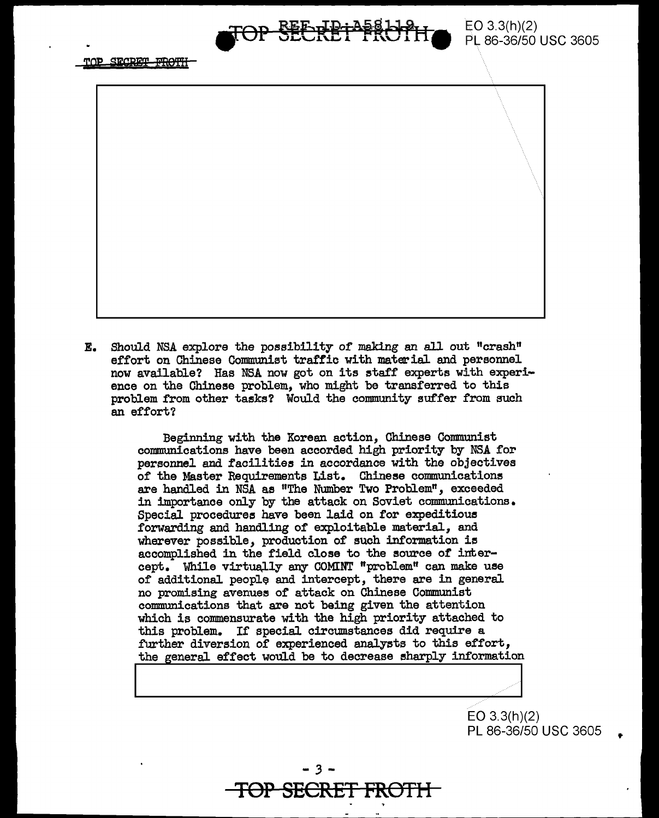

TOP SECRET FROTH



**E.** Should NSA explore the possibility of making an all out "crash" effort on Chinese Communist traffic with material and personnel now available? Has NSA now got on its staff experts with experience on the Chinese problem, who might be transferred to this problem from other tasks? Would the community suffer from such an effort?

> Beginning with the Korean action, Chinese Conmunist communications have been accorded high priority by NSA for personnel and facilities in accordance with the objectives of the Master Requirements List. Chinese communications are handled in NSA as "The Number Two Problem", exceeded in importance only by the attack on Soviet communications. Special procedures have been laid on for expeditious forwarding and handling of exploitable material, and wherever possible, production of such information is accomplished in the field close to the source of intercept. While virtua,lly any COMINT "problem" can make use of additional people and intercept, there are in general no promising avenues or attack on Chinese Communist communications that are not being given the attention which is commensurate with the high priority attached to this problem. If special circumstances did require a further diversion of experienced analysts to this effort, the general effect would be to decrease sharply information I I

> > EO 3.3(h)(2) PL 86-36/50 USC 3605

..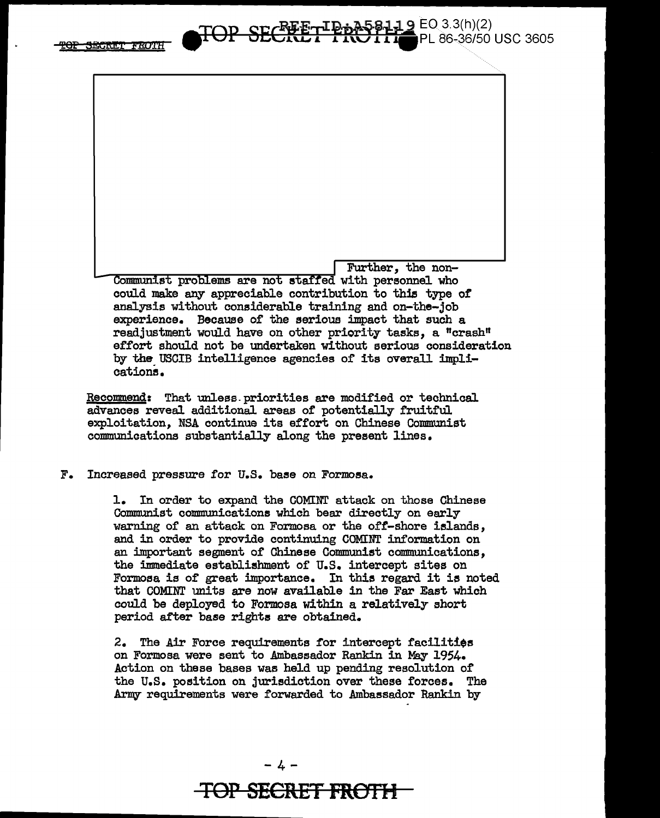



cation5.

Recommend: That unless. priorities are modified or technical advances reveal additional areas of potentially fruitful exploitation, NSA continue its effort on Chinese Communist communications substantially along the present lines.

#### F. Increased pressure for U.S. base on Formosa.

1. In order to expand the COMINT attack on those Chinese Communist communications which bear directly on early warning of an attack on Formosa or the off-shore islands, and in order to provide continuing COMINT information on an important segment of Chinese Communist communications, the immediate establishment of U.S. intercept sites on Formosa is of great importance. In this regard it is noted that COMINT units are now available in the Far East which could be deployed to Formosa within a relatively short period after base rights are obtained.

2. The Air Force requirements for intercept facilities on Formosa were sent to Ambassador Rankin in May 1954. Action on these bases was held up pending resolution of the U.S. position on jurisdiction over these forces. The Army requirements were forwarded to Ambassador Rankin by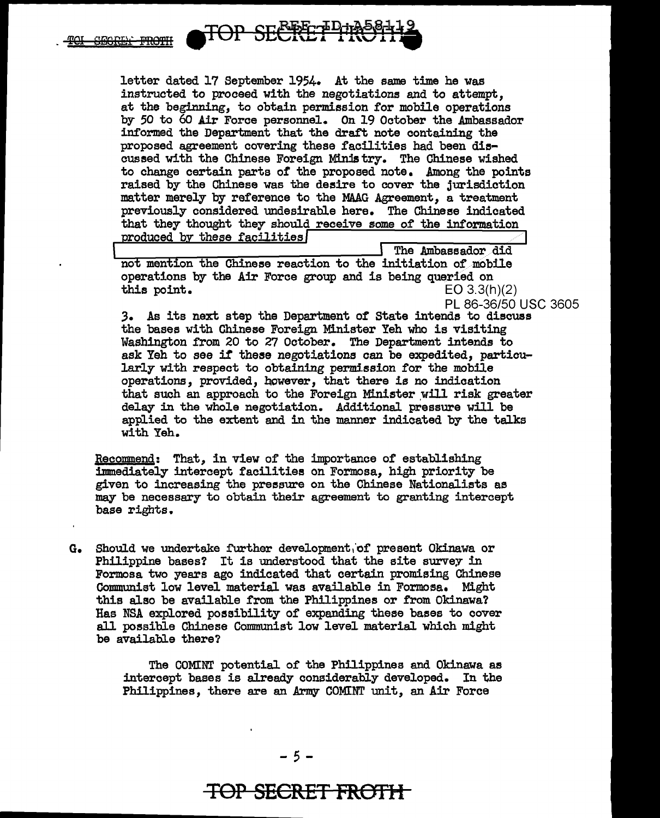![](_page_7_Picture_0.jpeg)

letter dated 17 September 1954. At the same time he was instructed to proceed with the negotiations and to attempt, at the beginning, to obtain permission for mobile operations by *50* to 60 Air Force personnel. On 19 October the Ambassador informed the Department that the draft note containing the proposed agreement covering these facilities had been discussed with the Chinese Foreign Ministry. The Chinese wished to change certain parts of the proposed note. Among the points raised by the Chinese was the desire to cover the jurisdiction matter merely by reference to the MAAG Agreement, a treatment previously considered undesirable here. The Chinese indicated that they thought they should receive some of the information produced by these facilities

The Ambassador did not mention the Chinese reaction to the initiation of mobile operations by the Air Force group and is being queried on this point.  $E = 0.3.3$  $EO 3.3(h)(2)$ 

PL 86-36/50 USC 3605

*3.* As its next step the Department or State intends to discuss the bases with Chinese Foreign Minister Yeh who is visiting Washington from 20 to 27 October. The Department intends to ask Yeh to see it' these negotiations can be expedited, particularly with respect to obtaining permission for the mobile operations, provided, however, that there is no indication that such an approach to the Foreign Minister will risk greater delay in the whole negotiation. Additional pressure will be applied to the extent and in the manner indicated by the talks with Yeh.

Recommend: That, in view of the importance of establishing immediately intercept facilities on Formosa, high priority be given to increasing the pressure on the Chinese Nationalists as may be necessary to obtain their agreement to granting intercept base rights.

G. Should we undertake further development, of present Okinawa or Philippine bases? It is understood that the site survey in Formosa two years ago indicated that certain promising Chinese Communist low level material was available in Formosa. Might this also be available from the Philippines or from Okinawa? Has NSA explored possibility of expanding these bases to cover all possible Chinese Communist low level material which might be available there?

> The COMINT potential of the Philippines and Okinawa as intercept bases is already considerably developed. In the Philippines, there are an Army COMINT unit, an Air Force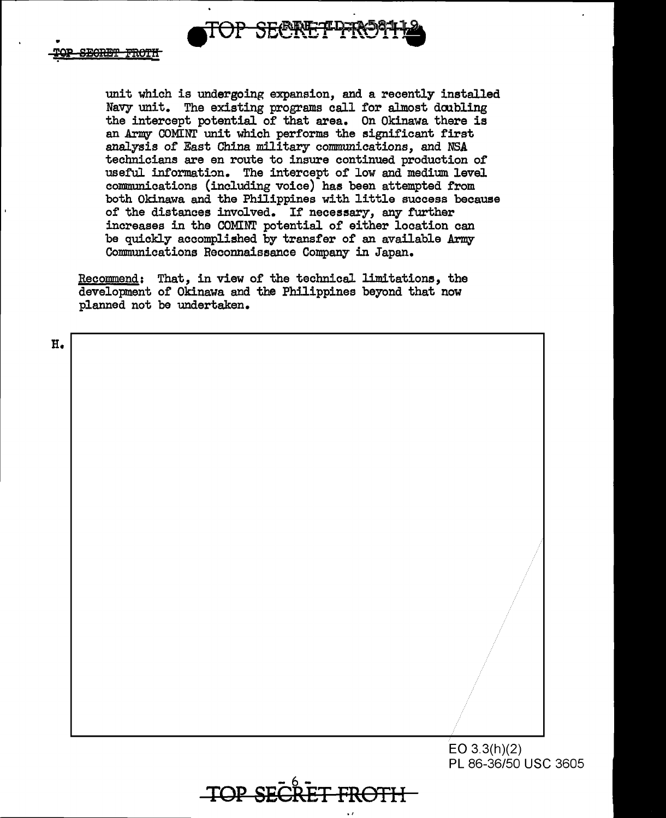![](_page_8_Picture_0.jpeg)

unit which is undergoing expansion, and a recently installed Navy unit. The existing programs call for almost doubling the intercept potential of that area. On Okinawa there is an Army COMINT unit which performs the significant first analysis of East China military communications, and NSA technicians are en route to insure continued production of useful information. The intercept of low and medium level communications (including voice) has been attempted from both Okinawa and the Philippines with little success because of the distances involved. If necessary, any further increases in the COMINT potential of either location can be quickly accomplished by transfer of an available Army-Communications Reconnaissance Company in Japan.

Recommend: That, in view of the technical limitations, the development of Okinawa and the Philippines beyond that now planned not be undertaken.

H.

EO 3.3(h)(2) PL 86-36/50 USC 3605

 $-$ **TOP SEGRET**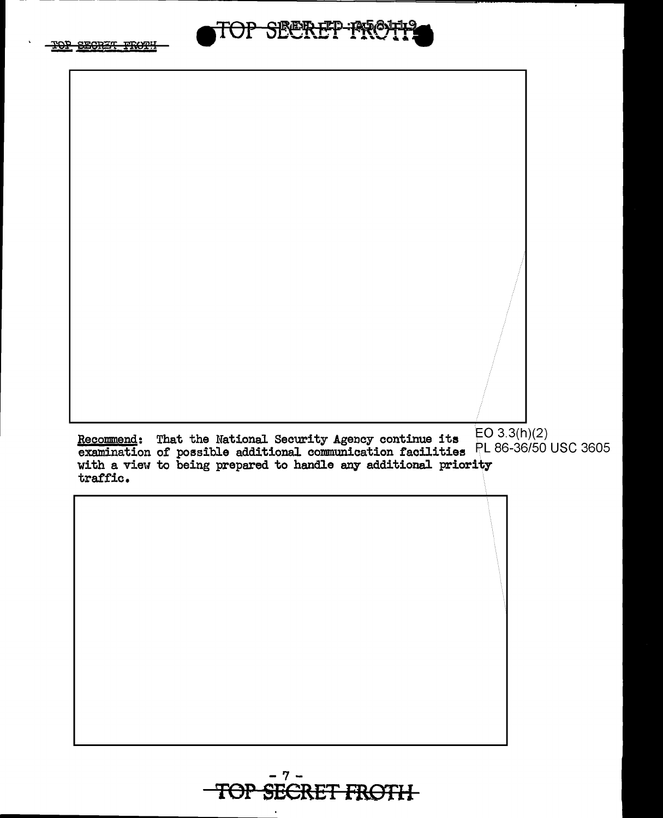![](_page_9_Picture_0.jpeg)

![](_page_9_Picture_1.jpeg)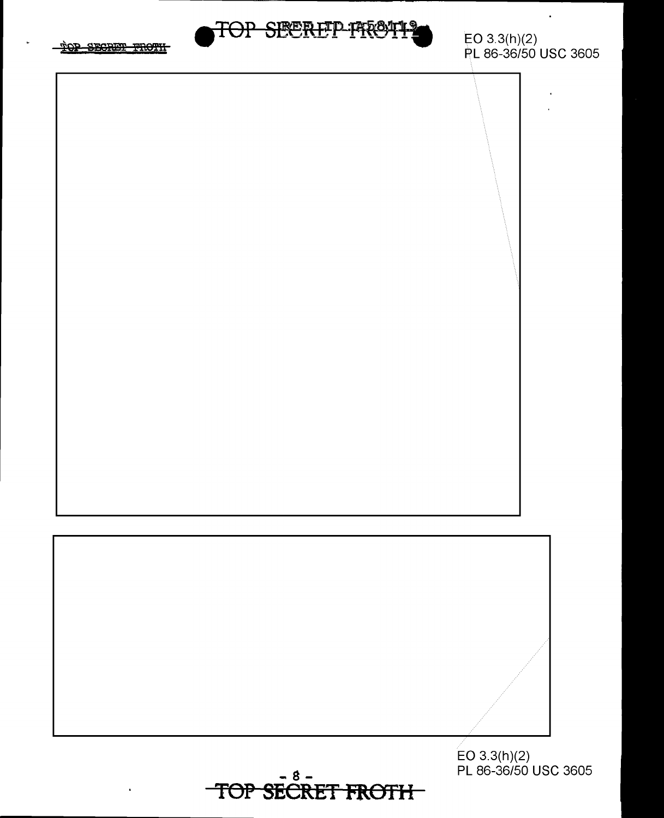![](_page_10_Picture_0.jpeg)

EO 3.3(h)(2)

![](_page_10_Picture_2.jpeg)